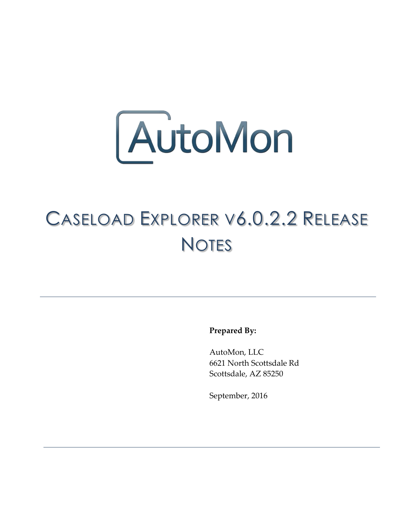

## CASELOAD EXPLORER V6.0.2.2 RELEASE **NOTES**

**Prepared By:**

AutoMon, LLC 6621 North Scottsdale Rd Scottsdale, AZ 85250

September, 2016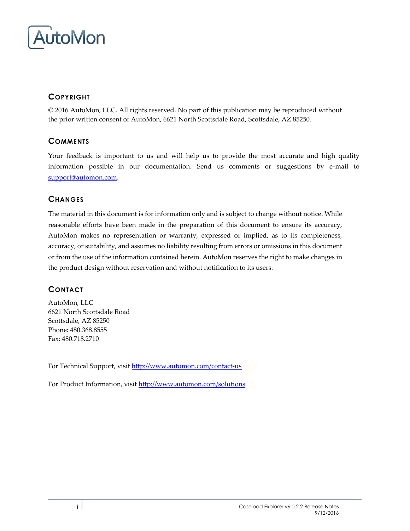

### **COPYRIGHT**

© 2016 AutoMon, LLC. All rights reserved. No part of this publication may be reproduced without the prior written consent of AutoMon, 6621 North Scottsdale Road, Scottsdale, AZ 85250.

#### **COMMENTS**

Your feedback is important to us and will help us to provide the most accurate and high quality information possible in our documentation. Send us comments or suggestions by e-mail to [support@automon.com.](mailto:support@automon.com)

#### **CHANGES**

The material in this document is for information only and is subject to change without notice. While reasonable efforts have been made in the preparation of this document to ensure its accuracy, AutoMon makes no representation or warranty, expressed or implied, as to its completeness, accuracy, or suitability, and assumes no liability resulting from errors or omissions in this document or from the use of the information contained herein. AutoMon reserves the right to make changes in the product design without reservation and without notification to its users.

### **CONTACT**

AutoMon, LLC 6621 North Scottsdale Road Scottsdale, AZ 85250 Phone: 480.368.8555 Fax: 480.718.2710

For Technical Support, visi[t http://www.automon.com/contact-us](http://www.automon.com/#!contact/c1d94)

For Product Information, visit [http://www.automon.com/solutions](http://www.automon.com/#!products/ch6q)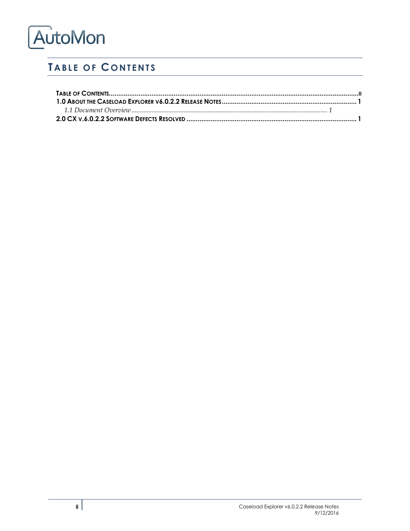# AutoMon

## <span id="page-2-0"></span>**TABLE OF CONTENTS**